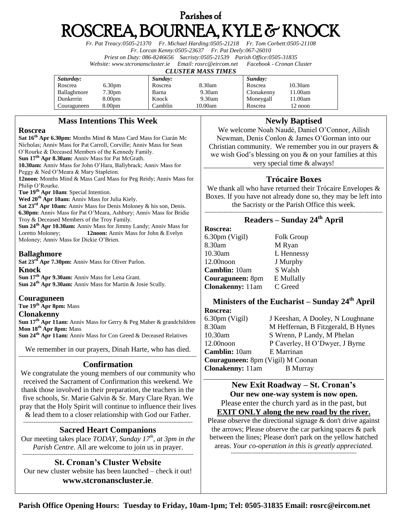# Parishes of ROSCREA, BOURNEA, KYLE & KNOCK

*Fr. Pat Treacy:0505-21370 Fr. Michael Harding:0505-21218 Fr. Tom Corbett:0505-21108 Fr. Lorcan Kenny:0505-23637 Fr. Pat Deely:067-26010 Priest on Duty: 086-8246656 Sacristy:0505-21539 Parish Office:0505-31835 Website[: www.stcronanscluster.ie](http://www.stcronanscluster.ie/) Email: [rosrc@eircom.net](mailto:rosrc@eircom.net) Facebook - Cronan Cluster* 

#### *CLUSTER MASS TIMES*

| Saturday:   |                    | Sunday: |         | Sunday:    |         |
|-------------|--------------------|---------|---------|------------|---------|
| Roscrea     | 6.30 <sub>pm</sub> | Roscrea | 8.30am  | Roscrea    | 10.30am |
| Ballaghmore | 7.30pm             | Barna   | 9.30am  | Clonakenny | 11.00am |
| Dunkerrin   | 8.00 <sub>pm</sub> | Knock   | 9.30am  | Moneygall  | 11.00am |
| Couraguneen | 8.00 <sub>pm</sub> | Camblin | 10.00am | Roscrea    | 12 noon |

## **Mass Intentions This Week**

## **Roscrea**

**Sat 16th Apr 6.30pm:** Months Mind & Mass Card Mass for Ciarán Mc Nicholas; Anniv Mass for Pat Carroll, Corville; Anniv Mass for Sean O'Rourke & Deceased Members of the Kennedy Family. **Sun 17th Apr 8.30am:** Anniv Mass for Pat McGrath. **10.30am:** Anniv Mass for John O'Hara, Ballybrack; Anniv Mass for Peggy & Ned O'Meara & Mary Stapleton. **12noon**: Months Mind & Mass Card Mass for Peg Reidy; Anniv Mass for

Philip O'Rourke.

**Tue 19th Apr 10am**: Special Intention.

**Wed 20th Apr 10am:** Anniv Mass for Julia Kiely.

**Sat 23rd Apr 10am:** Anniv Mass for Denis Moloney & his son, Denis. **6.30pm:** Anniv Mass for Pat O'Meara, Ashbury; Anniv Mass for Bridie Troy & Deceased Members of the Troy Family.

**Sun 24th Apr 10.30am:** Anniv Mass for Jimmy Landy; Anniv Mass for Loretto Moloney; **12noon:** Anniv Mass for John & Evelyn Moloney; Anniv Mass for Dickie O'Brien.

## **Ballaghmore**

**Sat 23rd Apr 7.30pm:** Anniv Mass for Oliver Parlon.

## **Knock**

**Sun 17th Apr 9.30am:** Anniv Mass for Lena Grant. **Sun 24th Apr 9.30am:** Anniv Mass for Martin & Josie Scully.

## **Couraguneen**

**Tue 19 th Apr 8pm:** Mass

## **Clonakenny**

**Sun 17th Apr 11am:** Anniv Mass for Gerry & Peg Maher & grandchildren **Mon 18 th Apr 8pm:** Mass

**Sun 24th Apr 11am:** Anniv Mass for Con Greed & Deceased Relatives

We remember in our prayers, Dinah Harte, who has died. ------------------------------------------------------------------------------------------------------

## **Confirmation**

We congratulate the young members of our community who received the Sacrament of Confirmation this weekend. We thank those involved in their preparation, the teachers in the five schools, Sr. Marie Galvin & Sr. Mary Clare Ryan. We pray that the Holy Spirit will continue to influence their lives & lead them to a closer relationship with God our Father.

-------------------------------------------------------------------------------------------------

## **Sacred Heart Companions**

Our meeting takes place *TODAY, Sunday 17th , at 3pm in the Parish Centre*. All are welcome to join us in prayer. --------------------------------------------------------------------------------------------------

## **St. Cronan's Cluster Website**

Our new cluster website has been launched – check it out! **[www.stcronanscluster.ie](http://www.stcronanscluster.ie/)**.

# **Newly Baptised**

We welcome Noah Naudé, Daniel O'Connor, Ailish Newman, Denis Conlon & James O'Gorman into our Christian community. We remember you in our prayers  $\&$ we wish God's blessing on you & on your families at this very special time & always!

# **Trócaire Boxes**

We thank all who have returned their Trócaire Envelopes & Boxes. If you have not already done so, they may be left into the Sacristy or the Parish Office this week.

#### ------------------------------------------------------------------------------------------------------ **Readers – Sunday 24th April**

**Roscrea:** 6.30pm (Vigil) Folk Group 8.30am M Ryan 10.30am L Hennessy 12.00noon J Murphy **Camblin:** 10am S Walsh **Couraguneen:** 8pm E Mullally **Clonakenny:** 11am C Greed

#### **Ministers of the Eucharist – Sunday 24th April Roscrea:**

| www.ca.                                  |                                    |  |  |  |  |
|------------------------------------------|------------------------------------|--|--|--|--|
| $6.30 \text{pm}$ (Vigil)                 | J Keeshan, A Dooley, N Loughnane   |  |  |  |  |
| 8.30am                                   | M Heffernan, B Fitzgerald, B Hynes |  |  |  |  |
| $10.30$ am                               | S Wrenn, P Landy, M Phelan         |  |  |  |  |
| $12.00$ noon                             | P Caverley, H O'Dwyer, J Byrne     |  |  |  |  |
| Camblin: 10am                            | E Marrinan                         |  |  |  |  |
| <b>Couraguneen:</b> 8pm (Vigil) M Coonan |                                    |  |  |  |  |
| <b>Clonakenny:</b> 11am                  | <b>B</b> Murray                    |  |  |  |  |

**New Exit Roadway – St. Cronan's Our new one-way system is now open.** Please enter the church yard as in the past, but **EXIT ONLY along the new road by the river.** 

Please observe the directional signage & don't drive against the arrows; Please observe the car parking spaces & park between the lines; Please don't park on the yellow hatched areas. *Your co-operation in this is greatly appreciated. ------------------------------------------------------------------------*